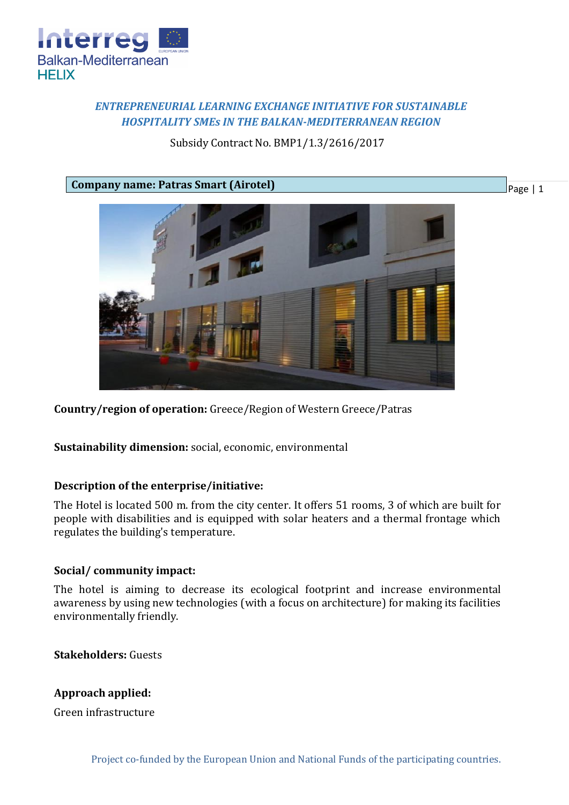

# *ENTREPRENEURIAL LEARNING EXCHANGE INITIATIVE FOR SUSTAINABLE HOSPITALITY SMEs IN THE BALKAN-MEDITERRANEAN REGION*

# Subsidy Contract No. BMP1/1.3/2616/2017

**Company name: Patras Smart (Airotel)**



**Country/region of operation:** Greece/Region of Western Greece/Patras

**Sustainability dimension:** social, economic, environmental

#### **Description of the enterprise/initiative:**

The Hotel is located 500 m. from the city center. It offers 51 rooms, 3 of which are built for people with disabilities and is equipped with solar heaters and a thermal frontage which regulates the building's temperature.

## **Social/ community impact:**

The hotel is aiming to decrease its ecological footprint and increase environmental awareness by using new technologies (with a focus on architecture) for making its facilities environmentally friendly.

**Stakeholders:** Guests

**Approach applied:**

Green infrastructure

Page | 1